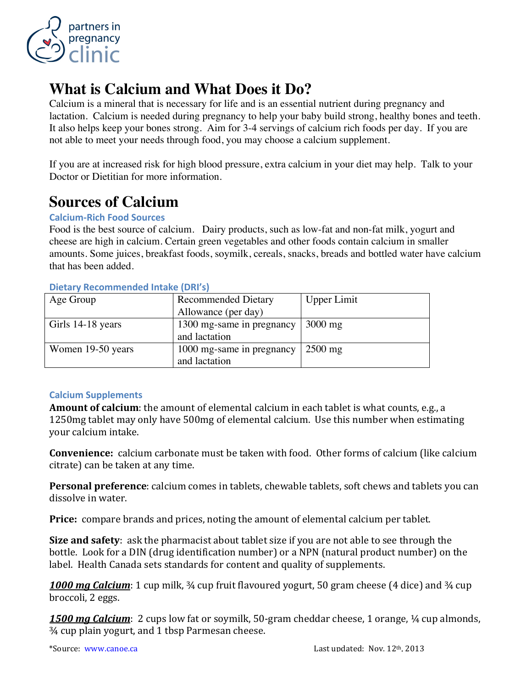

# **What is Calcium and What Does it Do?**

Calcium is a mineral that is necessary for life and is an essential nutrient during pregnancy and lactation. Calcium is needed during pregnancy to help your baby build strong, healthy bones and teeth. It also helps keep your bones strong. Aim for 3-4 servings of calcium rich foods per day. If you are not able to meet your needs through food, you may choose a calcium supplement.

If you are at increased risk for high blood pressure, extra calcium in your diet may help. Talk to your Doctor or Dietitian for more information.

## **Sources of Calcium**

#### **Calcium-Rich Food Sources**

Food is the best source of calcium. Dairy products, such as low-fat and non-fat milk, yogurt and cheese are high in calcium. Certain green vegetables and other foods contain calcium in smaller amounts. Some juices, breakfast foods, soymilk, cereals, snacks, breads and bottled water have calcium that has been added.

| Age Group         | <b>Recommended Dietary</b> | <b>Upper Limit</b> |
|-------------------|----------------------------|--------------------|
|                   | Allowance (per day)        |                    |
| Girls 14-18 years | 1300 mg-same in pregnancy  | $3000$ mg          |
|                   | and lactation              |                    |
| Women 19-50 years | 1000 mg-same in pregnancy  | $2500$ mg          |
|                   | and lactation              |                    |

#### **Dietary+Recommended+Intake+(DRI's)**

#### **Calcium+Supplements**

**Amount of calcium**: the amount of elemental calcium in each tablet is what counts, e.g., a 1250mg tablet may only have 500mg of elemental calcium. Use this number when estimating vour calcium intake.

**Convenience:** calcium carbonate must be taken with food. Other forms of calcium (like calcium citrate) can be taken at any time.

**Personal preference**: calcium comes in tablets, chewable tablets, soft chews and tablets you can dissolve in water.

**Price:** compare brands and prices, noting the amount of elemental calcium per tablet.

**Size and safety**: ask the pharmacist about tablet size if you are not able to see through the bottle. Look for a DIN (drug identification number) or a NPN (natural product number) on the label. Health Canada sets standards for content and quality of supplements.

**1000 mg Calcium**: 1 cup milk, <sup>3</sup>⁄4 cup fruit flavoured yogurt, 50 gram cheese (4 dice) and <sup>3</sup>⁄4 cup broccoli, 2 eggs.

**1500** *mg Calcium*: 2 cups low fat or soymilk, 50-gram cheddar cheese, 1 orange, ¼ cup almonds,  $\frac{3}{4}$  cup plain yogurt, and 1 tbsp Parmesan cheese.